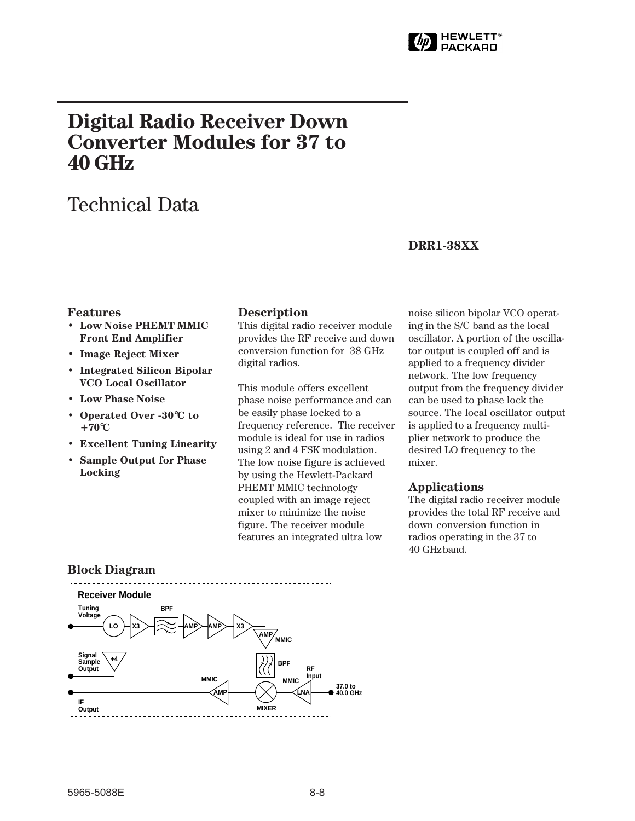

# **Digital Radio Receiver Down Converter Modules for 37 to 40␣ GHz**

# Technical Data

# **DRR1-38XX**

### **Features**

- **Low Noise PHEMT MMIC Front End Amplifier**
- **Image Reject Mixer**
- **Integrated Silicon Bipolar VCO Local Oscillator**
- **Low Phase Noise**
- **Operated Over -30**°**C to +70**°**C**
- **Excellent Tuning Linearity**
- **Sample Output for Phase Locking**

# **Description**

This digital radio receiver module provides the RF receive and down conversion function for 38 GHz digital radios.

This module offers excellent phase noise performance and can be easily phase locked to a frequency reference. The receiver module is ideal for use in radios using 2 and 4 FSK modulation. The low noise figure is achieved by using the Hewlett-Packard PHEMT MMIC technology coupled with an image reject mixer to minimize the noise figure. The receiver module features an integrated ultra low

noise silicon bipolar VCO operating in the S/C band as the local oscillator. A portion of the oscillator output is coupled off and is applied to a frequency divider network. The low frequency output from the frequency divider can be used to phase lock the source. The local oscillator output is applied to a frequency multiplier network to produce the desired LO frequency to the mixer.

### **Applications**

The digital radio receiver module provides the total RF receive and down conversion function in radios operating in the 37 to 40␣ GHz band.



# **Block Diagram**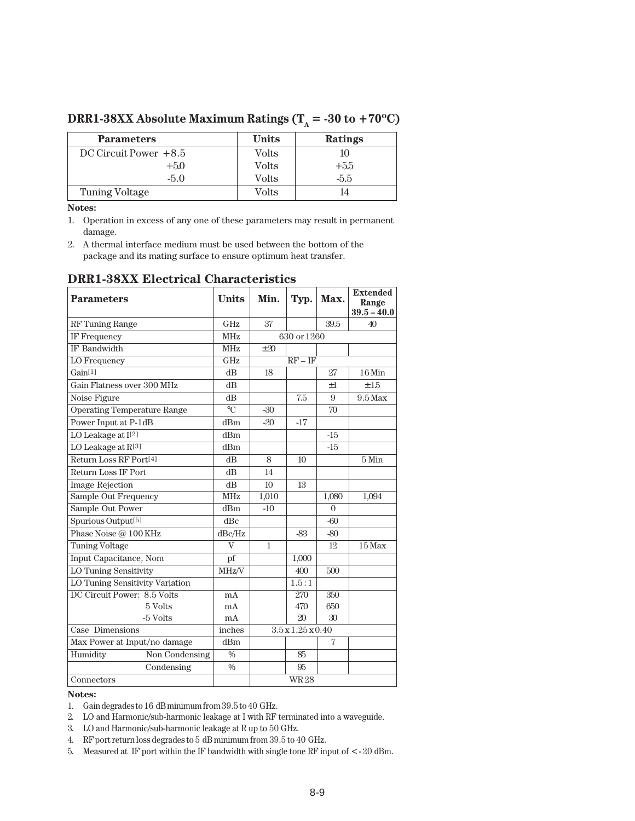**DRR1-38XX Absolute Maximum Ratings (** $T_A = -30$  **to**  $+70^{\circ}$ **C)** 

| <b>Parameters</b>       | <b>Units</b> | <b>Ratings</b> |
|-------------------------|--------------|----------------|
| DC Circuit Power $+8.5$ | Volts        |                |
| $+5.0$                  | Volts        | $+5.5$         |
| $-5.0$                  | Volts        | -5.5           |
| <b>Tuning Voltage</b>   | Volts        |                |

**Notes:**

1. Operation in excess of any one of these parameters may result in permanent damage.

2. A thermal interface medium must be used between the bottom of the package and its mating surface to ensure optimum heat transfer.

| <b>Parameters</b>                  |                                    | <b>Units</b>  | Min.         | Typ.                          | Max.     | <b>Extended</b><br>Range<br>$39.5 - 40.0$ |
|------------------------------------|------------------------------------|---------------|--------------|-------------------------------|----------|-------------------------------------------|
| RF Tuning Range                    |                                    | GHz           | 37           |                               | 39.5     | 40                                        |
| <b>IF Frequency</b>                |                                    | <b>MHz</b>    | 630 or 1260  |                               |          |                                           |
| <b>IF Bandwidth</b>                |                                    | <b>MHz</b>    | $\pm 20$     |                               |          |                                           |
| LO Frequency                       |                                    | GHz           | $RF - IF$    |                               |          |                                           |
| Gain[1]                            |                                    | dB            | 18           |                               | 27       | $16$ Min                                  |
| Gain Flatness over 300 MHz         |                                    | dB            |              |                               | $\pm 1$  | ±15                                       |
| Noise Figure                       |                                    | dB            |              | 7.5                           | 9        | 9.5 Max                                   |
|                                    | <b>Operating Temperature Range</b> | $^{\circ}C$   | $-30$        |                               | 70       |                                           |
| Power Input at P-1dB               |                                    | dBm           | $-20$        | $-17$                         |          |                                           |
| LO Leakage at I <sup>[2]</sup>     |                                    | dBm           |              |                               | $-15$    |                                           |
| LO Leakage at R[3]                 |                                    | dBm           |              |                               | $-15$    |                                           |
| Return Loss RF Port <sup>[4]</sup> |                                    | dB            | 8            | 10                            |          | 5 Min                                     |
| <b>Return Loss IF Port</b>         |                                    | dB            | 14           |                               |          |                                           |
| Image Rejection                    |                                    | dB            | 10           | 13                            |          |                                           |
| <b>Sample Out Frequency</b>        |                                    | <b>MHz</b>    | 1,010        |                               | 1,080    | 1,094                                     |
| Sample Out Power                   |                                    | dBm           | $-10$        |                               | $\Omega$ |                                           |
| Spurious Output <sup>[5]</sup>     |                                    | dBc           |              |                               | $-60$    |                                           |
| Phase Noise @ 100 KHz              |                                    | dBc/Hz        |              | $-83$                         | $-80$    |                                           |
| <b>Tuning Voltage</b>              |                                    | $\mathbf{V}$  | $\mathbf{1}$ |                               | 12       | 15 Max                                    |
| Input Capacitance, Nom             |                                    | pf            |              | 1,000                         |          |                                           |
| LO Tuning Sensitivity              |                                    | MHz/V         |              | 400                           | 500      |                                           |
|                                    | LO Tuning Sensitivity Variation    |               |              | 1.5:1                         |          |                                           |
| DC Circuit Power: 8.5 Volts        |                                    | mA            |              | 270                           | 350      |                                           |
|                                    | 5 Volts                            | mA            |              | 470                           | 650      |                                           |
|                                    | -5 Volts                           | mA            |              | 20                            | 30       |                                           |
| Case Dimensions                    |                                    | inches        |              | $3.5 \times 1.25 \times 0.40$ |          |                                           |
|                                    | Max Power at Input/no damage       | dBm           |              |                               | 7        |                                           |
| Humidity                           | Non Condensing                     | $\frac{0}{0}$ |              | 85                            |          |                                           |
|                                    | Condensing                         | $\frac{0}{0}$ |              | 95                            |          |                                           |
| Connectors                         |                                    |               |              | WR 28                         |          |                                           |

**DRR1-38XX Electrical Characteristics**

#### **Notes:**

1. Gain degrades to 16 dB minimum from 39.5 to 40 GHz.

2. LO and Harmonic/sub-harmonic leakage at I with RF terminated into a waveguide.

3. LO and Harmonic/sub-harmonic leakage at R up to 50 GHz.

4. RF port return loss degrades to 5␣ dB minimum from 39.5 to 40␣ GHz.

5. Measured at IF port within the IF bandwidth with single tone RF input of <-20 dBm.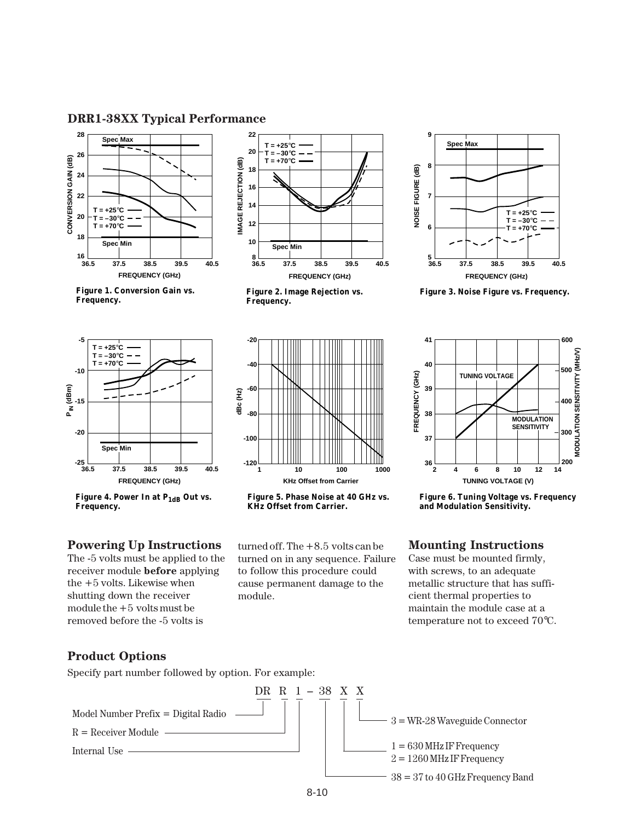# **DRR1-38XX Typical Performance**







Figure 4. Power In at P<sub>1dB</sub> Out vs. **Frequency.**

### **Powering Up Instructions**

The -5 volts must be applied to the receiver module **before** applying the +5 volts. Likewise when shutting down the receiver module the  $+5$  volts must be removed before the -5 volts is



**Figure 2. Image Rejection vs. Frequency.**



**Figure 5. Phase Noise at 40 GHz vs. KHz Offset from Carrier.**

turned off. The  $+8.5$  volts can be turned on in any sequence. Failure to follow this procedure could cause permanent damage to the module.



**Figure 3. Noise Figure vs. Frequency.**



**Figure 6. Tuning Voltage vs. Frequency and Modulation Sensitivity.**

### **Mounting Instructions**

Case must be mounted firmly, with screws, to an adequate metallic structure that has sufficient thermal properties to maintain the module case at a temperature not to exceed 70°C.

# **Product Options**

Specify part number followed by option. For example: